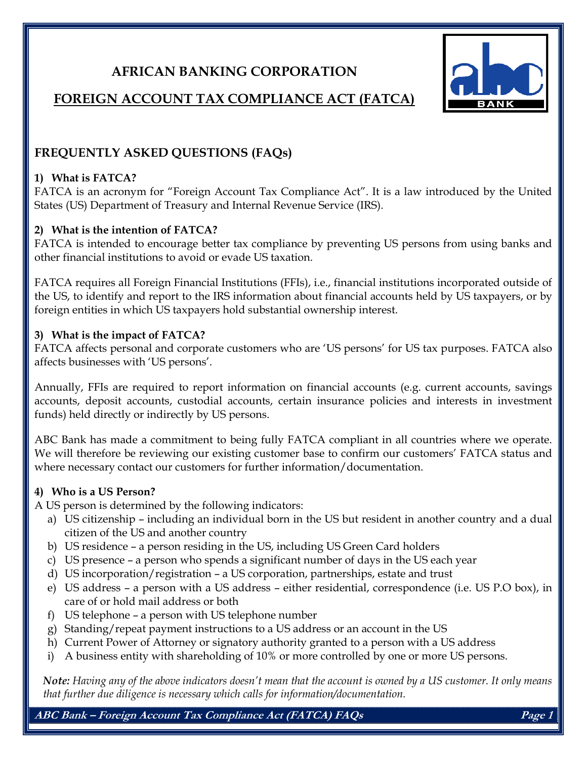# AFRICAN BANKING CORPORATION



# FOREIGN ACCOUNT TAX COMPLIANCE ACT (FATCA)

# FREQUENTLY ASKED QUESTIONS (FAQs)

#### 1) What is FATCA?

FATCA is an acronym for "Foreign Account Tax Compliance Act". It is a law introduced by the United States (US) Department of Treasury and Internal Revenue Service (IRS).

#### 2) What is the intention of FATCA?

FATCA is intended to encourage better tax compliance by preventing US persons from using banks and other financial institutions to avoid or evade US taxation.

FATCA requires all Foreign Financial Institutions (FFIs), i.e., financial institutions incorporated outside of the US, to identify and report to the IRS information about financial accounts held by US taxpayers, or by foreign entities in which US taxpayers hold substantial ownership interest.

#### 3) What is the impact of FATCA?

FATCA affects personal and corporate customers who are 'US persons' for US tax purposes. FATCA also affects businesses with 'US persons'.

Annually, FFIs are required to report information on financial accounts (e.g. current accounts, savings accounts, deposit accounts, custodial accounts, certain insurance policies and interests in investment funds) held directly or indirectly by US persons.

ABC Bank has made a commitment to being fully FATCA compliant in all countries where we operate. We will therefore be reviewing our existing customer base to confirm our customers' FATCA status and where necessary contact our customers for further information/documentation.

#### 4) Who is a US Person?

A US person is determined by the following indicators:

- a) US citizenship including an individual born in the US but resident in another country and a dual citizen of the US and another country
- b) US residence a person residing in the US, including US Green Card holders
- c) US presence a person who spends a significant number of days in the US each year
- d) US incorporation/registration a US corporation, partnerships, estate and trust
- e) US address a person with a US address either residential, correspondence (i.e. US P.O box), in care of or hold mail address or both
- f) US telephone a person with US telephone number
- g) Standing/repeat payment instructions to a US address or an account in the US
- h) Current Power of Attorney or signatory authority granted to a person with a US address
- i) A business entity with shareholding of 10% or more controlled by one or more US persons.

Note: Having any of the above indicators doesn't mean that the account is owned by a US customer. It only means that further due diligence is necessary which calls for information/documentation.

ABC Bank – Foreign Account Tax Compliance Act (FATCA) FAQs Page 1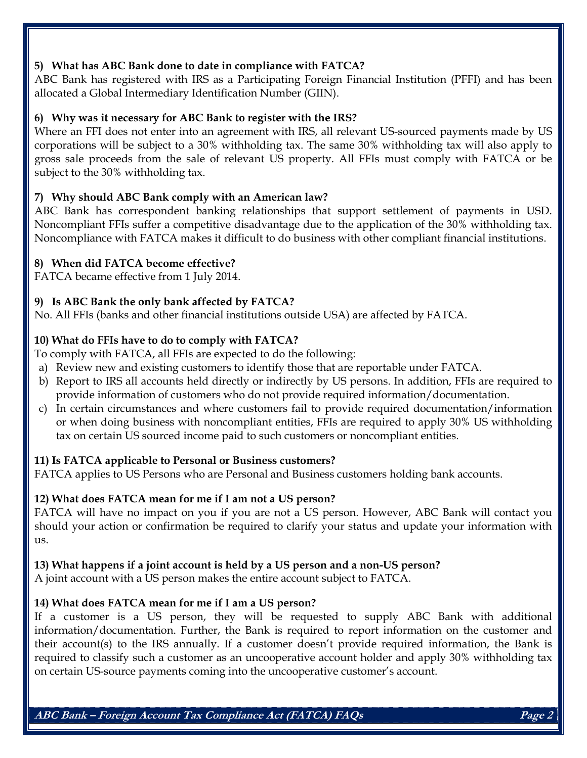#### 5) What has ABC Bank done to date in compliance with FATCA?

ABC Bank has registered with IRS as a Participating Foreign Financial Institution (PFFI) and has been allocated a Global Intermediary Identification Number (GIIN).

#### 6) Why was it necessary for ABC Bank to register with the IRS?

Where an FFI does not enter into an agreement with IRS, all relevant US-sourced payments made by US corporations will be subject to a 30% withholding tax. The same 30% withholding tax will also apply to gross sale proceeds from the sale of relevant US property. All FFIs must comply with FATCA or be subject to the 30% withholding tax.

# 7) Why should ABC Bank comply with an American law?

ABC Bank has correspondent banking relationships that support settlement of payments in USD. Noncompliant FFIs suffer a competitive disadvantage due to the application of the 30% withholding tax. Noncompliance with FATCA makes it difficult to do business with other compliant financial institutions.

### 8) When did FATCA become effective?

FATCA became effective from 1 July 2014.

### 9) Is ABC Bank the only bank affected by FATCA?

No. All FFIs (banks and other financial institutions outside USA) are affected by FATCA.

### 10) What do FFIs have to do to comply with FATCA?

To comply with FATCA, all FFIs are expected to do the following:

- a) Review new and existing customers to identify those that are reportable under FATCA.
- b) Report to IRS all accounts held directly or indirectly by US persons. In addition, FFIs are required to provide information of customers who do not provide required information/documentation.
- c) In certain circumstances and where customers fail to provide required documentation/information or when doing business with noncompliant entities, FFIs are required to apply 30% US withholding tax on certain US sourced income paid to such customers or noncompliant entities.

# 11) Is FATCA applicable to Personal or Business customers?

FATCA applies to US Persons who are Personal and Business customers holding bank accounts.

#### 12) What does FATCA mean for me if I am not a US person?

FATCA will have no impact on you if you are not a US person. However, ABC Bank will contact you should your action or confirmation be required to clarify your status and update your information with us.

#### 13) What happens if a joint account is held by a US person and a non-US person?

A joint account with a US person makes the entire account subject to FATCA.

# 14) What does FATCA mean for me if I am a US person?

If a customer is a US person, they will be requested to supply ABC Bank with additional information/documentation. Further, the Bank is required to report information on the customer and their account(s) to the IRS annually. If a customer doesn't provide required information, the Bank is required to classify such a customer as an uncooperative account holder and apply 30% withholding tax on certain US-source payments coming into the uncooperative customer's account.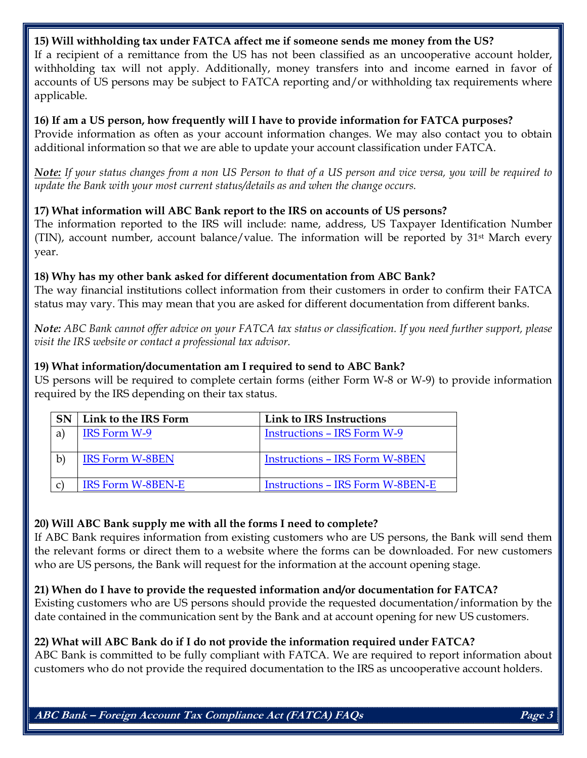#### 15) Will withholding tax under FATCA affect me if someone sends me money from the US?

If a recipient of a remittance from the US has not been classified as an uncooperative account holder, withholding tax will not apply. Additionally, money transfers into and income earned in favor of accounts of US persons may be subject to FATCA reporting and/or withholding tax requirements where applicable.

#### 16) If am a US person, how frequently wilI I have to provide information for FATCA purposes? Provide information as often as your account information changes. We may also contact you to obtain additional information so that we are able to update your account classification under FATCA.

Note: If your status changes from a non US Person to that of a US person and vice versa, you will be required to update the Bank with your most current status/details as and when the change occurs.

#### 17) What information will ABC Bank report to the IRS on accounts of US persons?

The information reported to the IRS will include: name, address, US Taxpayer Identification Number (TIN), account number, account balance/value. The information will be reported by  $31<sup>st</sup>$  March every year.

#### 18) Why has my other bank asked for different documentation from ABC Bank?

The way financial institutions collect information from their customers in order to confirm their FATCA status may vary. This may mean that you are asked for different documentation from different banks.

Note: ABC Bank cannot offer advice on your FATCA tax status or classification. If you need further support, please visit the IRS website or contact a professional tax advisor.

### 19) What information/documentation am I required to send to ABC Bank?

US persons will be required to complete certain forms (either Form W-8 or W-9) to provide information required by the IRS depending on their tax status.

| <b>SN</b>             | Link to the IRS Form     | Link to IRS Instructions                |
|-----------------------|--------------------------|-----------------------------------------|
| a)                    | IRS Form W-9             | <b>Instructions – IRS Form W-9</b>      |
| $\mathbf{b}^{\prime}$ | <b>IRS Form W-8BEN</b>   | <b>Instructions - IRS Form W-8BEN</b>   |
|                       | <b>IRS Form W-8BEN-E</b> | <b>Instructions – IRS Form W-8BEN-E</b> |

# 20) Will ABC Bank supply me with all the forms I need to complete?

If ABC Bank requires information from existing customers who are US persons, the Bank will send them the relevant forms or direct them to a website where the forms can be downloaded. For new customers who are US persons, the Bank will request for the information at the account opening stage.

# 21) When do I have to provide the requested information and/or documentation for FATCA?

Existing customers who are US persons should provide the requested documentation/information by the date contained in the communication sent by the Bank and at account opening for new US customers.

# 22) What will ABC Bank do if I do not provide the information required under FATCA?

ABC Bank is committed to be fully compliant with FATCA. We are required to report information about customers who do not provide the required documentation to the IRS as uncooperative account holders.